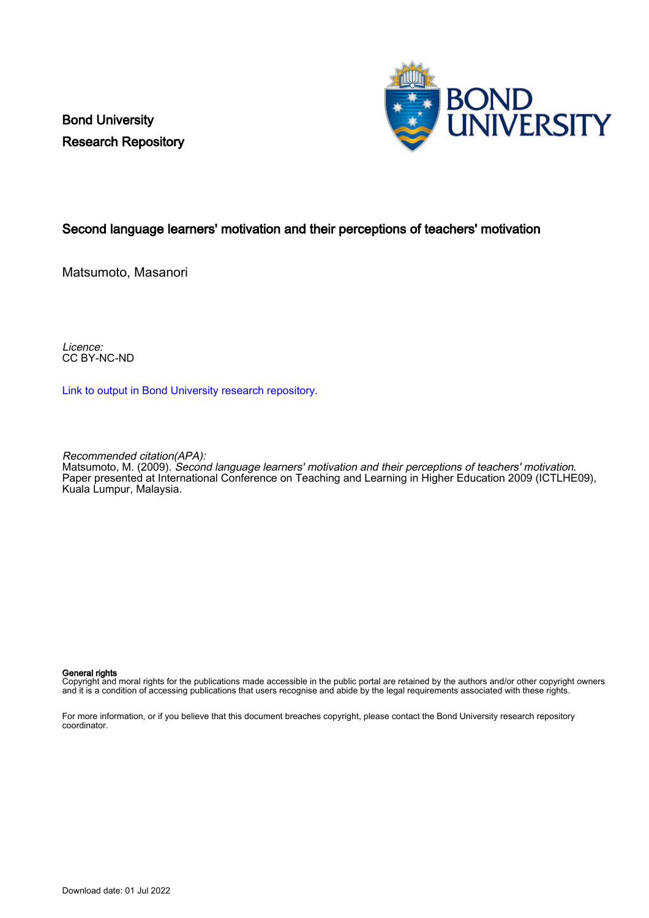Bond University Research Repository



### Second language learners' motivation and their perceptions of teachers' motivation

Matsumoto, Masanori

Licence: CC BY-NC-ND

[Link to output in Bond University research repository.](https://research.bond.edu.au/en/publications/b0583cd5-81db-47b4-8dcd-5c4692b75464)

Recommended citation(APA):

Matsumoto, M. (2009). Second language learners' motivation and their perceptions of teachers' motivation. Paper presented at International Conference on Teaching and Learning in Higher Education 2009 (ICTLHE09), Kuala Lumpur, Malaysia.

#### General rights

Copyright and moral rights for the publications made accessible in the public portal are retained by the authors and/or other copyright owners and it is a condition of accessing publications that users recognise and abide by the legal requirements associated with these rights.

For more information, or if you believe that this document breaches copyright, please contact the Bond University research repository coordinator.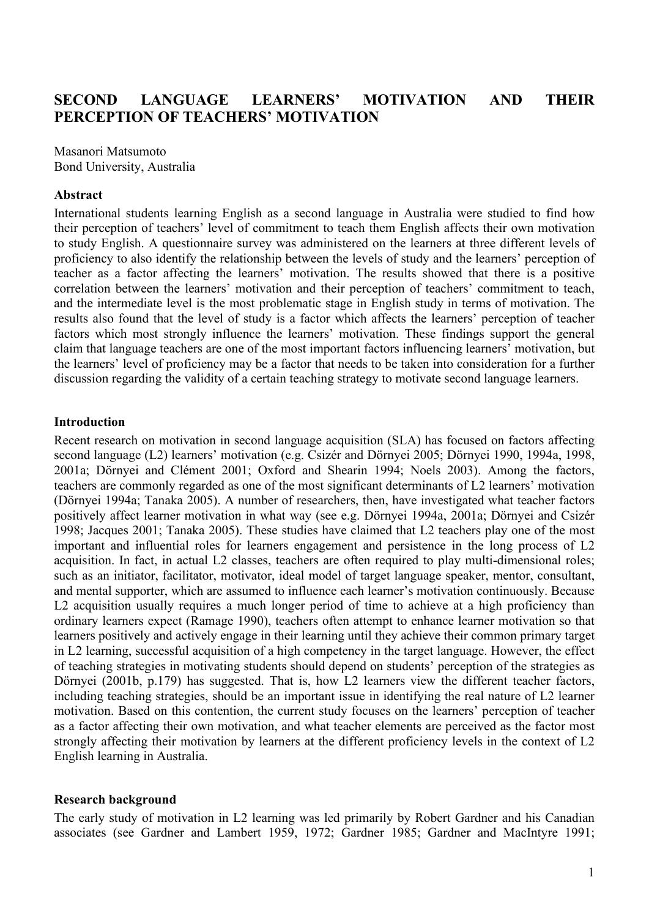# **SECOND LANGUAGE LEARNERS' MOTIVATION AND THEIR PERCEPTION OF TEACHERS' MOTIVATION**

Masanori Matsumoto Bond University, Australia

#### **Abstract**

International students learning English as a second language in Australia were studied to find how their perception of teachers' level of commitment to teach them English affects their own motivation to study English. A questionnaire survey was administered on the learners at three different levels of proficiency to also identify the relationship between the levels of study and the learners' perception of teacher as a factor affecting the learners' motivation. The results showed that there is a positive correlation between the learners' motivation and their perception of teachers' commitment to teach, and the intermediate level is the most problematic stage in English study in terms of motivation. The results also found that the level of study is a factor which affects the learners' perception of teacher factors which most strongly influence the learners' motivation. These findings support the general claim that language teachers are one of the most important factors influencing learners' motivation, but the learners' level of proficiency may be a factor that needs to be taken into consideration for a further discussion regarding the validity of a certain teaching strategy to motivate second language learners.

#### **Introduction**

Recent research on motivation in second language acquisition (SLA) has focused on factors affecting second language (L2) learners' motivation (e.g. Csizér and Dörnyei 2005; Dörnyei 1990, 1994a, 1998, 2001a; Dörnyei and Clément 2001; Oxford and Shearin 1994; Noels 2003). Among the factors, teachers are commonly regarded as one of the most significant determinants of L2 learners' motivation (Dörnyei 1994a; Tanaka 2005). A number of researchers, then, have investigated what teacher factors positively affect learner motivation in what way (see e.g. Dörnyei 1994a, 2001a; Dörnyei and Csizér 1998; Jacques 2001; Tanaka 2005). These studies have claimed that L2 teachers play one of the most important and influential roles for learners engagement and persistence in the long process of L2 acquisition. In fact, in actual L2 classes, teachers are often required to play multi-dimensional roles; such as an initiator, facilitator, motivator, ideal model of target language speaker, mentor, consultant, and mental supporter, which are assumed to influence each learner's motivation continuously. Because L2 acquisition usually requires a much longer period of time to achieve at a high proficiency than ordinary learners expect (Ramage 1990), teachers often attempt to enhance learner motivation so that learners positively and actively engage in their learning until they achieve their common primary target in L2 learning, successful acquisition of a high competency in the target language. However, the effect of teaching strategies in motivating students should depend on students' perception of the strategies as Dörnyei (2001b, p.179) has suggested. That is, how L2 learners view the different teacher factors, including teaching strategies, should be an important issue in identifying the real nature of L2 learner motivation. Based on this contention, the current study focuses on the learners' perception of teacher as a factor affecting their own motivation, and what teacher elements are perceived as the factor most strongly affecting their motivation by learners at the different proficiency levels in the context of L2 English learning in Australia.

#### **Research background**

The early study of motivation in L2 learning was led primarily by Robert Gardner and his Canadian associates (see Gardner and Lambert 1959, 1972; Gardner 1985; Gardner and MacIntyre 1991;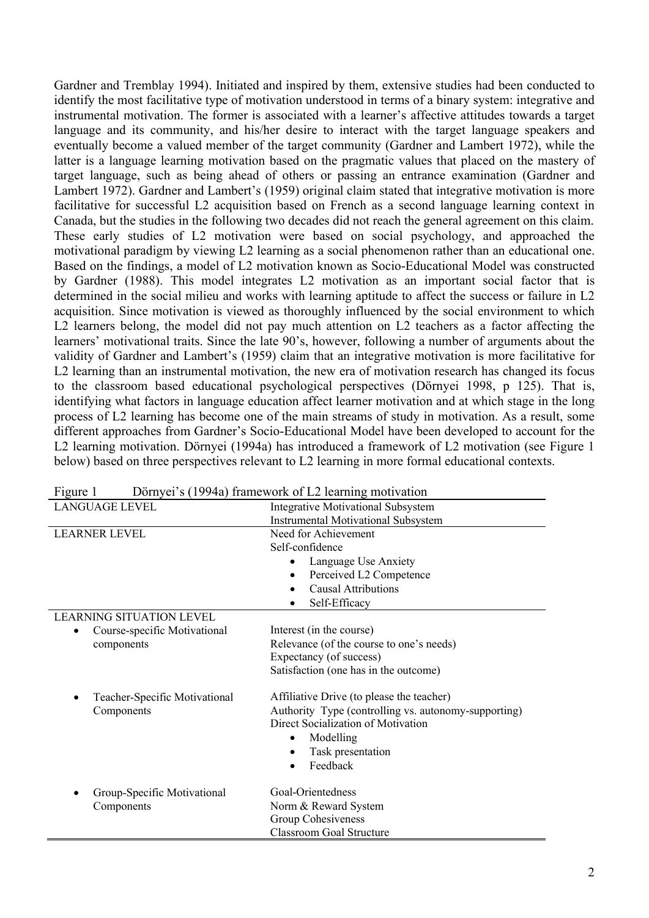Gardner and Tremblay 1994). Initiated and inspired by them, extensive studies had been conducted to identify the most facilitative type of motivation understood in terms of a binary system: integrative and instrumental motivation. The former is associated with a learner's affective attitudes towards a target language and its community, and his/her desire to interact with the target language speakers and eventually become a valued member of the target community (Gardner and Lambert 1972), while the latter is a language learning motivation based on the pragmatic values that placed on the mastery of target language, such as being ahead of others or passing an entrance examination (Gardner and Lambert 1972). Gardner and Lambert's (1959) original claim stated that integrative motivation is more facilitative for successful L2 acquisition based on French as a second language learning context in Canada, but the studies in the following two decades did not reach the general agreement on this claim. These early studies of L2 motivation were based on social psychology, and approached the motivational paradigm by viewing L2 learning as a social phenomenon rather than an educational one. Based on the findings, a model of L2 motivation known as Socio-Educational Model was constructed by Gardner (1988). This model integrates L2 motivation as an important social factor that is determined in the social milieu and works with learning aptitude to affect the success or failure in L2 acquisition. Since motivation is viewed as thoroughly influenced by the social environment to which L2 learners belong, the model did not pay much attention on L2 teachers as a factor affecting the learners' motivational traits. Since the late 90's, however, following a number of arguments about the validity of Gardner and Lambert's (1959) claim that an integrative motivation is more facilitative for L2 learning than an instrumental motivation, the new era of motivation research has changed its focus to the classroom based educational psychological perspectives (Dörnyei 1998, p 125). That is, identifying what factors in language education affect learner motivation and at which stage in the long process of L2 learning has become one of the main streams of study in motivation. As a result, some different approaches from Gardner's Socio-Educational Model have been developed to account for the L2 learning motivation. Dörnyei (1994a) has introduced a framework of L2 motivation (see Figure 1 below) based on three perspectives relevant to L2 learning in more formal educational contexts.

| riguie i                        | Dornyer s (1994a) trainework of L2 rearning monvation |
|---------------------------------|-------------------------------------------------------|
| <b>LANGUAGE LEVEL</b>           | <b>Integrative Motivational Subsystem</b>             |
|                                 | <b>Instrumental Motivational Subsystem</b>            |
| <b>LEARNER LEVEL</b>            | Need for Achievement                                  |
|                                 | Self-confidence                                       |
|                                 | Language Use Anxiety<br>٠                             |
|                                 | Perceived L2 Competence<br>٠                          |
|                                 | <b>Causal Attributions</b>                            |
|                                 | Self-Efficacy                                         |
| <b>LEARNING SITUATION LEVEL</b> |                                                       |
| Course-specific Motivational    | Interest (in the course)                              |
| components                      | Relevance (of the course to one's needs)              |
|                                 | Expectancy (of success)                               |
|                                 | Satisfaction (one has in the outcome)                 |
| Teacher-Specific Motivational   | Affiliative Drive (to please the teacher)             |
| Components                      | Authority Type (controlling vs. autonomy-supporting)  |
|                                 | Direct Socialization of Motivation                    |
|                                 | Modelling                                             |
|                                 | Task presentation                                     |
|                                 | Feedback                                              |
| Group-Specific Motivational     | Goal-Orientedness                                     |
| Components                      | Norm & Reward System                                  |
|                                 | Group Cohesiveness                                    |
|                                 | <b>Classroom Goal Structure</b>                       |

| Figure 1 |  | Dörnyei's (1994a) framework of L2 learning motivation |
|----------|--|-------------------------------------------------------|
|          |  |                                                       |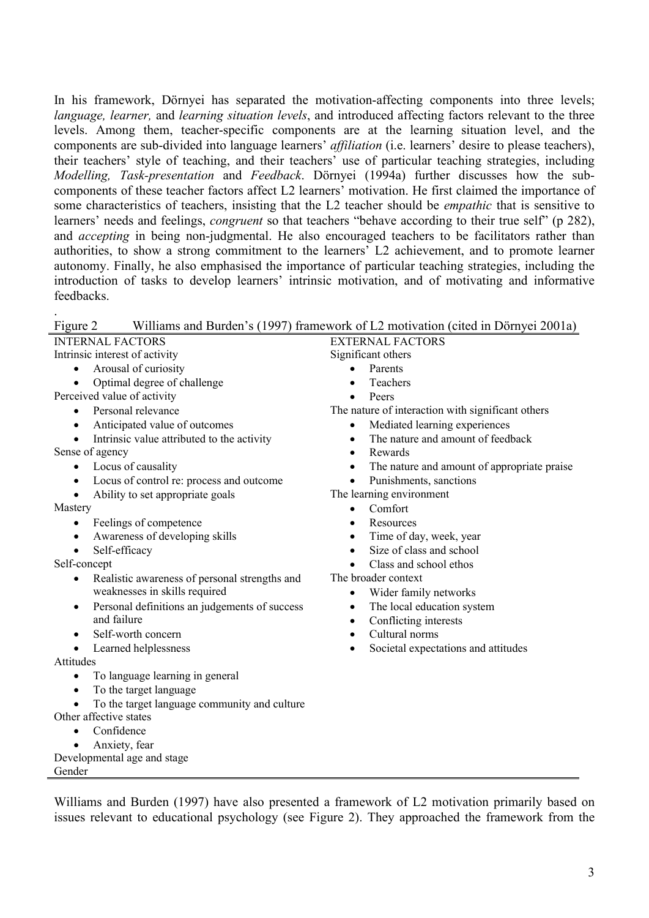In his framework, Dörnyei has separated the motivation-affecting components into three levels; *language, learner,* and *learning situation levels*, and introduced affecting factors relevant to the three levels. Among them, teacher-specific components are at the learning situation level, and the components are sub-divided into language learners' *affiliation* (i.e. learners' desire to please teachers), their teachers' style of teaching, and their teachers' use of particular teaching strategies, including *Modelling, Task-presentation* and *Feedback*. Dörnyei (1994a) further discusses how the subcomponents of these teacher factors affect L2 learners' motivation. He first claimed the importance of some characteristics of teachers, insisting that the L2 teacher should be *empathic* that is sensitive to learners' needs and feelings, *congruent* so that teachers "behave according to their true self" (p 282), and *accepting* in being non-judgmental. He also encouraged teachers to be facilitators rather than authorities, to show a strong commitment to the learners' L2 achievement, and to promote learner autonomy. Finally, he also emphasised the importance of particular teaching strategies, including the introduction of tasks to develop learners' intrinsic motivation, and of motivating and informative feedbacks.

.

Gender

| Figure 2                                                   | Williams and Burden's (1997) framework of L2 motivation (cited in Dörnyei 2001a) |
|------------------------------------------------------------|----------------------------------------------------------------------------------|
| <b>INTERNAL FACTORS</b>                                    | <b>EXTERNAL FACTORS</b>                                                          |
| Intrinsic interest of activity                             | Significant others                                                               |
| Arousal of curiosity<br>$\bullet$                          | Parents                                                                          |
| Optimal degree of challenge                                | Teachers                                                                         |
| Perceived value of activity                                | Peers                                                                            |
| Personal relevance<br>$\bullet$                            | The nature of interaction with significant others                                |
| Anticipated value of outcomes<br>$\bullet$                 | Mediated learning experiences                                                    |
| Intrinsic value attributed to the activity<br>$\bullet$    | The nature and amount of feedback<br>$\bullet$                                   |
| Sense of agency                                            | Rewards<br>$\bullet$                                                             |
| Locus of causality<br>$\bullet$                            | The nature and amount of appropriate praise<br>$\bullet$                         |
| Locus of control re: process and outcome<br>$\bullet$      | Punishments, sanctions<br>$\bullet$                                              |
| Ability to set appropriate goals<br>$\bullet$              | The learning environment                                                         |
| Mastery                                                    | Comfort<br>$\bullet$                                                             |
| Feelings of competence<br>$\bullet$                        | Resources<br>$\bullet$                                                           |
| Awareness of developing skills<br>$\bullet$                | Time of day, week, year<br>$\bullet$                                             |
| Self-efficacy<br>$\bullet$                                 | Size of class and school<br>$\bullet$                                            |
| Self-concept                                               | Class and school ethos<br>$\bullet$                                              |
| Realistic awareness of personal strengths and<br>$\bullet$ | The broader context                                                              |
| weaknesses in skills required                              | Wider family networks<br>$\bullet$                                               |
| Personal definitions an judgements of success<br>$\bullet$ | The local education system<br>$\bullet$                                          |
| and failure                                                | Conflicting interests<br>$\bullet$                                               |
| Self-worth concern<br>$\bullet$                            | Cultural norms<br>$\bullet$                                                      |
| Learned helplessness<br>$\bullet$                          | Societal expectations and attitudes<br>$\bullet$                                 |
| Attitudes                                                  |                                                                                  |
| To language learning in general<br>$\bullet$               |                                                                                  |
| To the target language<br>$\bullet$                        |                                                                                  |
| To the target language community and culture<br>$\bullet$  |                                                                                  |
| Other affective states                                     |                                                                                  |
| Confidence<br>$\bullet$                                    |                                                                                  |
| Anxiety, fear                                              |                                                                                  |
| Developmental age and stage                                |                                                                                  |

Williams and Burden (1997) have also presented a framework of L2 motivation primarily based on issues relevant to educational psychology (see Figure 2). They approached the framework from the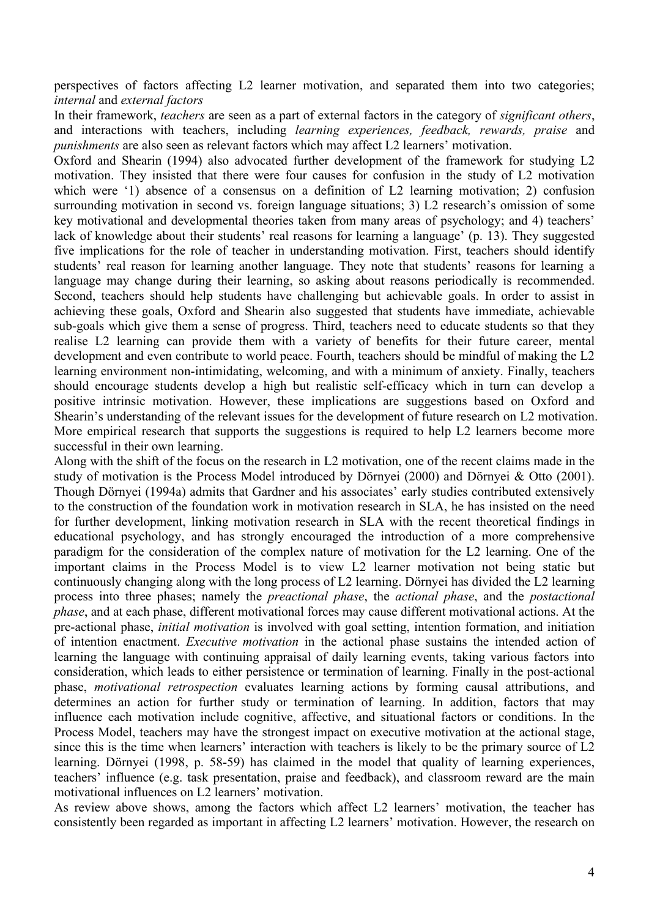perspectives of factors affecting L2 learner motivation, and separated them into two categories; *internal* and *external factors*

In their framework, *teachers* are seen as a part of external factors in the category of *significant others*, and interactions with teachers, including *learning experiences, feedback, rewards, praise* and *punishments* are also seen as relevant factors which may affect L2 learners' motivation.

Oxford and Shearin (1994) also advocated further development of the framework for studying L2 motivation. They insisted that there were four causes for confusion in the study of L2 motivation which were '1) absence of a consensus on a definition of L2 learning motivation; 2) confusion surrounding motivation in second vs. foreign language situations; 3) L2 research's omission of some key motivational and developmental theories taken from many areas of psychology; and 4) teachers' lack of knowledge about their students' real reasons for learning a language' (p. 13). They suggested five implications for the role of teacher in understanding motivation. First, teachers should identify students' real reason for learning another language. They note that students' reasons for learning a language may change during their learning, so asking about reasons periodically is recommended. Second, teachers should help students have challenging but achievable goals. In order to assist in achieving these goals, Oxford and Shearin also suggested that students have immediate, achievable sub-goals which give them a sense of progress. Third, teachers need to educate students so that they realise L2 learning can provide them with a variety of benefits for their future career, mental development and even contribute to world peace. Fourth, teachers should be mindful of making the L2 learning environment non-intimidating, welcoming, and with a minimum of anxiety. Finally, teachers should encourage students develop a high but realistic self-efficacy which in turn can develop a positive intrinsic motivation. However, these implications are suggestions based on Oxford and Shearin's understanding of the relevant issues for the development of future research on L2 motivation. More empirical research that supports the suggestions is required to help L2 learners become more successful in their own learning.

Along with the shift of the focus on the research in L2 motivation, one of the recent claims made in the study of motivation is the Process Model introduced by Dörnyei (2000) and Dörnyei & Otto (2001). Though Dörnyei (1994a) admits that Gardner and his associates' early studies contributed extensively to the construction of the foundation work in motivation research in SLA, he has insisted on the need for further development, linking motivation research in SLA with the recent theoretical findings in educational psychology, and has strongly encouraged the introduction of a more comprehensive paradigm for the consideration of the complex nature of motivation for the L2 learning. One of the important claims in the Process Model is to view L2 learner motivation not being static but continuously changing along with the long process of L2 learning. Dörnyei has divided the L2 learning process into three phases; namely the *preactional phase*, the *actional phase*, and the *postactional phase*, and at each phase, different motivational forces may cause different motivational actions. At the pre-actional phase, *initial motivation* is involved with goal setting, intention formation, and initiation of intention enactment. *Executive motivation* in the actional phase sustains the intended action of learning the language with continuing appraisal of daily learning events, taking various factors into consideration, which leads to either persistence or termination of learning. Finally in the post-actional phase, *motivational retrospection* evaluates learning actions by forming causal attributions, and determines an action for further study or termination of learning. In addition, factors that may influence each motivation include cognitive, affective, and situational factors or conditions. In the Process Model, teachers may have the strongest impact on executive motivation at the actional stage, since this is the time when learners' interaction with teachers is likely to be the primary source of L2 learning. Dörnyei (1998, p. 58-59) has claimed in the model that quality of learning experiences, teachers' influence (e.g. task presentation, praise and feedback), and classroom reward are the main motivational influences on L2 learners' motivation.

As review above shows, among the factors which affect L2 learners' motivation, the teacher has consistently been regarded as important in affecting L2 learners' motivation. However, the research on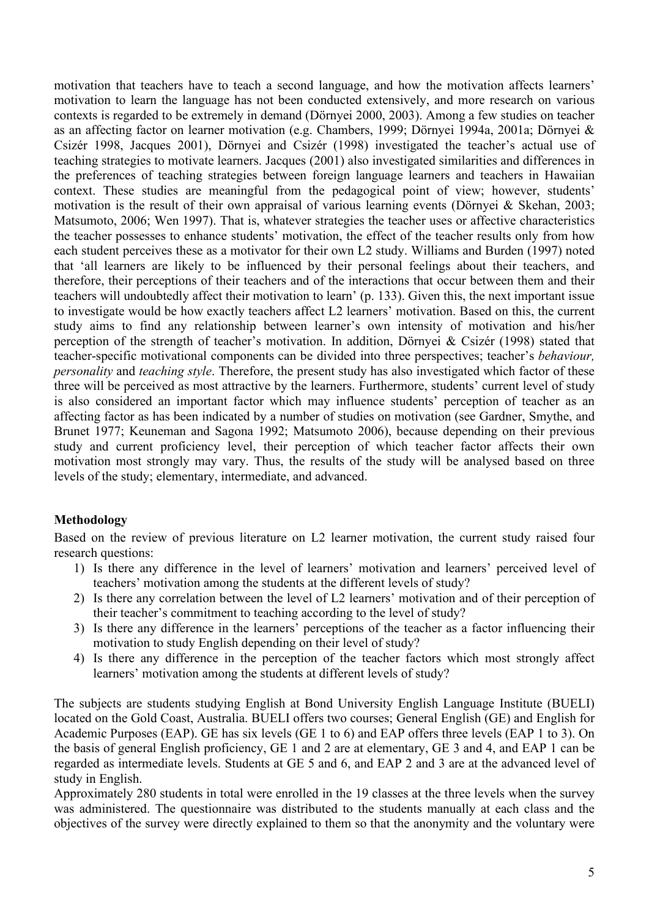motivation that teachers have to teach a second language, and how the motivation affects learners' motivation to learn the language has not been conducted extensively, and more research on various contexts is regarded to be extremely in demand (Dörnyei 2000, 2003). Among a few studies on teacher as an affecting factor on learner motivation (e.g. Chambers, 1999; Dörnyei 1994a, 2001a; Dörnyei & Csizér 1998, Jacques 2001), Dörnyei and Csizér (1998) investigated the teacher's actual use of teaching strategies to motivate learners. Jacques (2001) also investigated similarities and differences in the preferences of teaching strategies between foreign language learners and teachers in Hawaiian context. These studies are meaningful from the pedagogical point of view; however, students' motivation is the result of their own appraisal of various learning events (Dörnyei & Skehan, 2003; Matsumoto, 2006; Wen 1997). That is, whatever strategies the teacher uses or affective characteristics the teacher possesses to enhance students' motivation, the effect of the teacher results only from how each student perceives these as a motivator for their own L2 study. Williams and Burden (1997) noted that 'all learners are likely to be influenced by their personal feelings about their teachers, and therefore, their perceptions of their teachers and of the interactions that occur between them and their teachers will undoubtedly affect their motivation to learn' (p. 133). Given this, the next important issue to investigate would be how exactly teachers affect L2 learners' motivation. Based on this, the current study aims to find any relationship between learner's own intensity of motivation and his/her perception of the strength of teacher's motivation. In addition, Dörnyei & Csizér (1998) stated that teacher-specific motivational components can be divided into three perspectives; teacher's *behaviour, personality* and *teaching style*. Therefore, the present study has also investigated which factor of these three will be perceived as most attractive by the learners. Furthermore, students' current level of study is also considered an important factor which may influence students' perception of teacher as an affecting factor as has been indicated by a number of studies on motivation (see Gardner, Smythe, and Brunet 1977; Keuneman and Sagona 1992; Matsumoto 2006), because depending on their previous study and current proficiency level, their perception of which teacher factor affects their own motivation most strongly may vary. Thus, the results of the study will be analysed based on three levels of the study; elementary, intermediate, and advanced.

### **Methodology**

Based on the review of previous literature on L2 learner motivation, the current study raised four research questions:

- 1) Is there any difference in the level of learners' motivation and learners' perceived level of teachers' motivation among the students at the different levels of study?
- 2) Is there any correlation between the level of L2 learners' motivation and of their perception of their teacher's commitment to teaching according to the level of study?
- 3) Is there any difference in the learners' perceptions of the teacher as a factor influencing their motivation to study English depending on their level of study?
- 4) Is there any difference in the perception of the teacher factors which most strongly affect learners' motivation among the students at different levels of study?

The subjects are students studying English at Bond University English Language Institute (BUELI) located on the Gold Coast, Australia. BUELI offers two courses; General English (GE) and English for Academic Purposes (EAP). GE has six levels (GE 1 to 6) and EAP offers three levels (EAP 1 to 3). On the basis of general English proficiency, GE 1 and 2 are at elementary, GE 3 and 4, and EAP 1 can be regarded as intermediate levels. Students at GE 5 and 6, and EAP 2 and 3 are at the advanced level of study in English.

Approximately 280 students in total were enrolled in the 19 classes at the three levels when the survey was administered. The questionnaire was distributed to the students manually at each class and the objectives of the survey were directly explained to them so that the anonymity and the voluntary were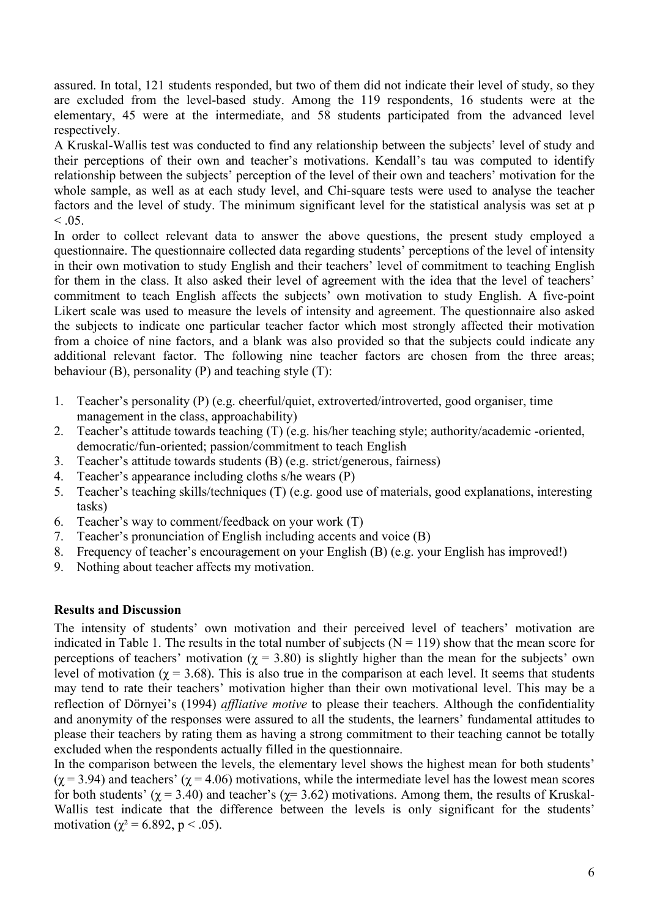assured. In total, 121 students responded, but two of them did not indicate their level of study, so they are excluded from the level-based study. Among the 119 respondents, 16 students were at the elementary, 45 were at the intermediate, and 58 students participated from the advanced level respectively.

A Kruskal-Wallis test was conducted to find any relationship between the subjects' level of study and their perceptions of their own and teacher's motivations. Kendall's tau was computed to identify relationship between the subjects' perception of the level of their own and teachers' motivation for the whole sample, as well as at each study level, and Chi-square tests were used to analyse the teacher factors and the level of study. The minimum significant level for the statistical analysis was set at p  $< 0.05$ .

In order to collect relevant data to answer the above questions, the present study employed a questionnaire. The questionnaire collected data regarding students' perceptions of the level of intensity in their own motivation to study English and their teachers' level of commitment to teaching English for them in the class. It also asked their level of agreement with the idea that the level of teachers' commitment to teach English affects the subjects' own motivation to study English. A five-point Likert scale was used to measure the levels of intensity and agreement. The questionnaire also asked the subjects to indicate one particular teacher factor which most strongly affected their motivation from a choice of nine factors, and a blank was also provided so that the subjects could indicate any additional relevant factor. The following nine teacher factors are chosen from the three areas; behaviour (B), personality (P) and teaching style (T):

- 1. Teacher's personality (P) (e.g. cheerful/quiet, extroverted/introverted, good organiser, time management in the class, approachability)
- 2. Teacher's attitude towards teaching (T) (e.g. his/her teaching style; authority/academic -oriented, democratic/fun-oriented; passion/commitment to teach English
- 3. Teacher's attitude towards students (B) (e.g. strict/generous, fairness)
- 4. Teacher's appearance including cloths s/he wears (P)
- 5. Teacher's teaching skills/techniques (T) (e.g. good use of materials, good explanations, interesting tasks)
- 6. Teacher's way to comment/feedback on your work (T)
- 7. Teacher's pronunciation of English including accents and voice (B)
- 8. Frequency of teacher's encouragement on your English (B) (e.g. your English has improved!)
- 9. Nothing about teacher affects my motivation.

### **Results and Discussion**

The intensity of students' own motivation and their perceived level of teachers' motivation are indicated in Table 1. The results in the total number of subjects ( $N = 119$ ) show that the mean score for perceptions of teachers' motivation ( $\chi$  = 3.80) is slightly higher than the mean for the subjects' own level of motivation ( $\gamma$  = 3.68). This is also true in the comparison at each level. It seems that students may tend to rate their teachers' motivation higher than their own motivational level. This may be a reflection of Dörnyei's (1994) *affliative motive* to please their teachers. Although the confidentiality and anonymity of the responses were assured to all the students, the learners' fundamental attitudes to please their teachers by rating them as having a strong commitment to their teaching cannot be totally excluded when the respondents actually filled in the questionnaire.

In the comparison between the levels, the elementary level shows the highest mean for both students'  $(\chi = 3.94)$  and teachers' ( $\chi = 4.06$ ) motivations, while the intermediate level has the lowest mean scores for both students' ( $\chi$  = 3.40) and teacher's ( $\chi$  = 3.62) motivations. Among them, the results of Kruskal-Wallis test indicate that the difference between the levels is only significant for the students' motivation ( $\chi^2$  = 6.892, p < .05).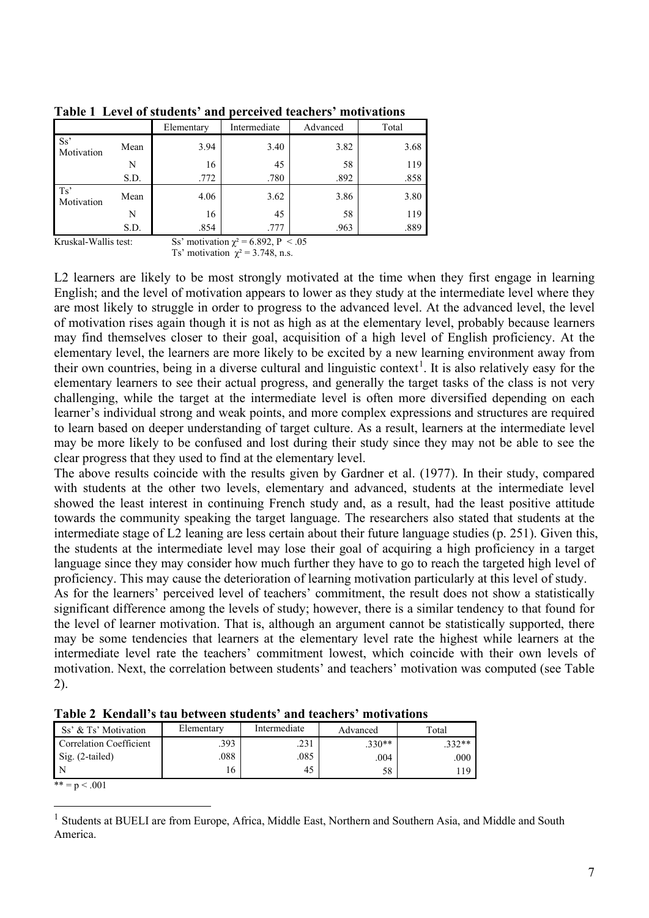|                       |      | Elementary                | Intermediate           | Advanced      | Total |
|-----------------------|------|---------------------------|------------------------|---------------|-------|
| Ss'<br>Motivation     | Mean | 3.94                      | 3.40                   | 3.82          | 3.68  |
|                       | N    | 16                        | 45                     | 58            | 119   |
|                       | S.D. | .772                      | .780                   | .892          | .858  |
| Ts'<br>Motivation     | Mean | 4.06                      | 3.62                   | 3.86          | 3.80  |
|                       | N    | 16                        | 45                     | 58            | 119   |
|                       | S.D. | .854                      | .777                   | .963          | .889  |
| <b>FF 1.4 FFF 111</b> |      | $\cdots$<br>$\sim$ $\sim$ | $\sim$ 000 m<br>$\sim$ | $\sim$ $\sim$ |       |

**Table 1 Level of students' and perceived teachers' motivations**

Kruskal-Wallis test: Ss' motivation  $\chi^2 = 6.892$ , P < .05

Ts' motivation  $\chi^2 = 3.748$ , n.s.

L2 learners are likely to be most strongly motivated at the time when they first engage in learning English; and the level of motivation appears to lower as they study at the intermediate level where they are most likely to struggle in order to progress to the advanced level. At the advanced level, the level of motivation rises again though it is not as high as at the elementary level, probably because learners may find themselves closer to their goal, acquisition of a high level of English proficiency. At the elementary level, the learners are more likely to be excited by a new learning environment away from their own countries, being in a diverse cultural and linguistic context<sup>[1](#page-7-0)</sup>. It is also relatively easy for the elementary learners to see their actual progress, and generally the target tasks of the class is not very challenging, while the target at the intermediate level is often more diversified depending on each learner's individual strong and weak points, and more complex expressions and structures are required to learn based on deeper understanding of target culture. As a result, learners at the intermediate level may be more likely to be confused and lost during their study since they may not be able to see the clear progress that they used to find at the elementary level.

The above results coincide with the results given by Gardner et al. (1977). In their study, compared with students at the other two levels, elementary and advanced, students at the intermediate level showed the least interest in continuing French study and, as a result, had the least positive attitude towards the community speaking the target language. The researchers also stated that students at the intermediate stage of L2 leaning are less certain about their future language studies (p. 251). Given this, the students at the intermediate level may lose their goal of acquiring a high proficiency in a target language since they may consider how much further they have to go to reach the targeted high level of proficiency. This may cause the deterioration of learning motivation particularly at this level of study.

As for the learners' perceived level of teachers' commitment, the result does not show a statistically significant difference among the levels of study; however, there is a similar tendency to that found for the level of learner motivation. That is, although an argument cannot be statistically supported, there may be some tendencies that learners at the elementary level rate the highest while learners at the intermediate level rate the teachers' commitment lowest, which coincide with their own levels of motivation. Next, the correlation between students' and teachers' motivation was computed (see Table 2).

| Ss' & Ts' Motivation    | Elementary | Intermediate | Advanced | Total   |
|-------------------------|------------|--------------|----------|---------|
| Correlation Coefficient | .393       | .231         | $.330**$ | $332**$ |
| Sig. (2-tailed)         | .088       | .085         | .004     | .000    |
|                         | 16         | 45           | 58       | 19      |

**Table 2 Kendall's tau between students' and teachers' motivations**

 $*** = p < .001$ 

<span id="page-7-0"></span><sup>&</sup>lt;sup>1</sup> Students at BUELI are from Europe, Africa, Middle East, Northern and Southern Asia, and Middle and South America.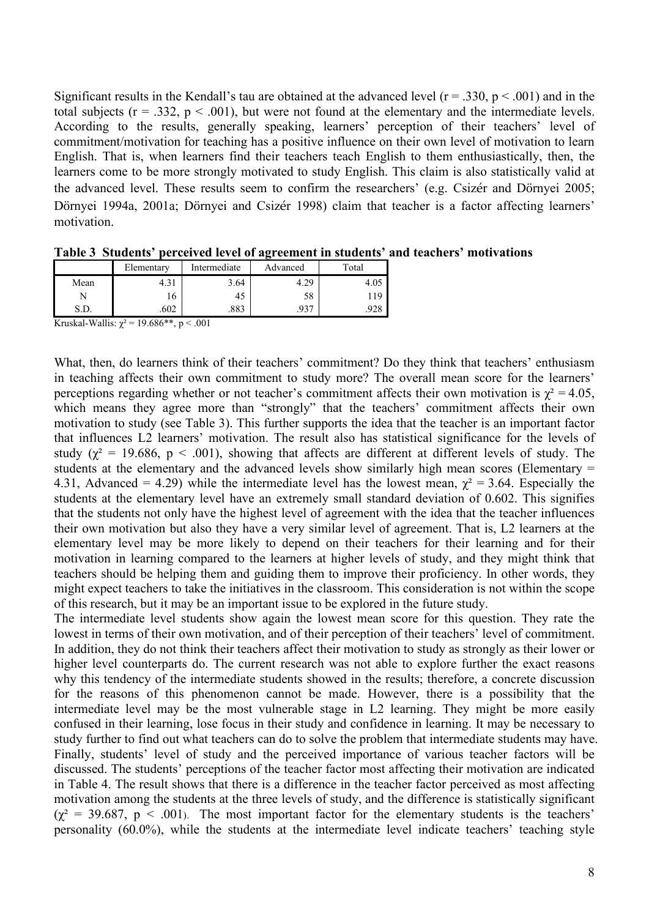Significant results in the Kendall's tau are obtained at the advanced level  $(r = .330, p < .001)$  and in the total subjects ( $r = .332$ ,  $p < .001$ ), but were not found at the elementary and the intermediate levels. According to the results, generally speaking, learners' perception of their teachers' level of commitment/motivation for teaching has a positive influence on their own level of motivation to learn English. That is, when learners find their teachers teach English to them enthusiastically, then, the learners come to be more strongly motivated to study English. This claim is also statistically valid at the advanced level. These results seem to confirm the researchers' (e.g. Csizér and Dörnyei 2005; Dörnyei 1994a, 2001a; Dörnyei and Csizér 1998) claim that teacher is a factor affecting learners' motivation.

|      | Elementary | Intermediate | Advanced | Total |
|------|------------|--------------|----------|-------|
| Mean | 4.31       | 3.64         | 4.29     | 4.UJ  |
|      | 16         | 45           | 58       |       |
| S.D. | .602       | 002<br>دەە.  | .937     |       |

**Table 3 Students' perceived level of agreement in students' and teachers' motivations**

Kruskal-Wallis:  $\chi^2$  = 19.686\*\*, p < .001

What, then, do learners think of their teachers' commitment? Do they think that teachers' enthusiasm in teaching affects their own commitment to study more? The overall mean score for the learners' perceptions regarding whether or not teacher's commitment affects their own motivation is  $\chi^2 = 4.05$ , which means they agree more than "strongly" that the teachers' commitment affects their own motivation to study (see Table 3). This further supports the idea that the teacher is an important factor that influences L2 learners' motivation. The result also has statistical significance for the levels of study ( $\chi^2$  = 19.686, p < .001), showing that affects are different at different levels of study. The students at the elementary and the advanced levels show similarly high mean scores (Elementary = 4.31, Advanced = 4.29) while the intermediate level has the lowest mean,  $\gamma^2 = 3.64$ . Especially the students at the elementary level have an extremely small standard deviation of 0.602. This signifies that the students not only have the highest level of agreement with the idea that the teacher influences their own motivation but also they have a very similar level of agreement. That is, L2 learners at the elementary level may be more likely to depend on their teachers for their learning and for their motivation in learning compared to the learners at higher levels of study, and they might think that teachers should be helping them and guiding them to improve their proficiency. In other words, they might expect teachers to take the initiatives in the classroom. This consideration is not within the scope of this research, but it may be an important issue to be explored in the future study.

The intermediate level students show again the lowest mean score for this question. They rate the lowest in terms of their own motivation, and of their perception of their teachers' level of commitment. In addition, they do not think their teachers affect their motivation to study as strongly as their lower or higher level counterparts do. The current research was not able to explore further the exact reasons why this tendency of the intermediate students showed in the results; therefore, a concrete discussion for the reasons of this phenomenon cannot be made. However, there is a possibility that the intermediate level may be the most vulnerable stage in L2 learning. They might be more easily confused in their learning, lose focus in their study and confidence in learning. It may be necessary to study further to find out what teachers can do to solve the problem that intermediate students may have. Finally, students' level of study and the perceived importance of various teacher factors will be discussed. The students' perceptions of the teacher factor most affecting their motivation are indicated in Table 4. The result shows that there is a difference in the teacher factor perceived as most affecting motivation among the students at the three levels of study, and the difference is statistically significant  $(\chi^2 = 39.687, p < .001)$ . The most important factor for the elementary students is the teachers' personality (60.0%), while the students at the intermediate level indicate teachers' teaching style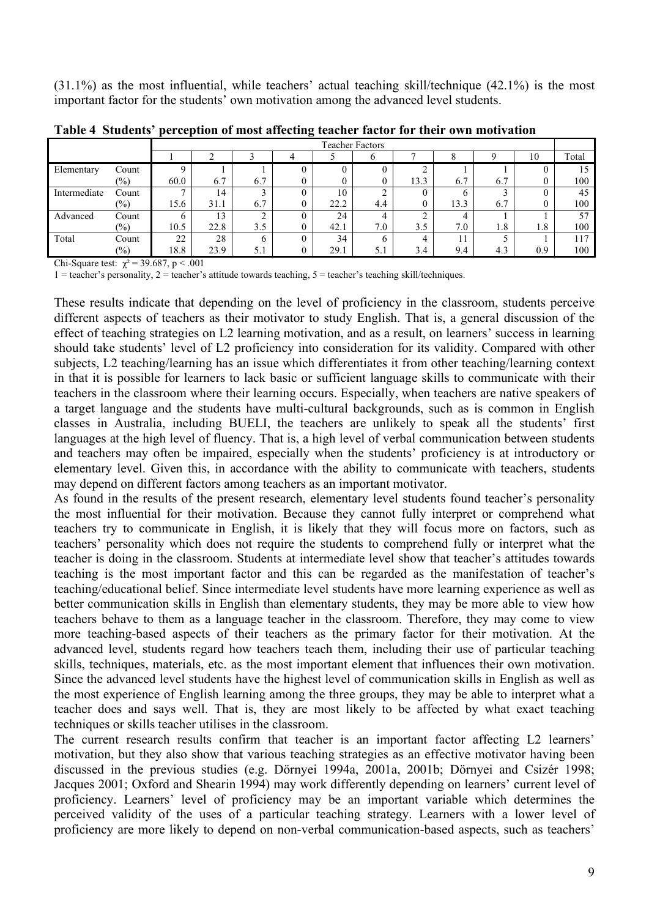(31.1%) as the most influential, while teachers' actual teaching skill/technique (42.1%) is the most important factor for the students' own motivation among the advanced level students.

|              |                   |              |      |     | <b>Teacher Factors</b> |     |      |      |     |     |       |
|--------------|-------------------|--------------|------|-----|------------------------|-----|------|------|-----|-----|-------|
|              |                   |              |      |     |                        |     |      |      |     | 10  | Total |
| Elementary   | Count             |              |      |     |                        |     |      |      |     |     |       |
|              | $(\%)$            | 60.0         | 6.7  | 6.7 |                        |     | 13.3 | 6.7  | 6.7 |     | 100   |
| Intermediate | Count             | $\mathbf{r}$ | 14   |     | 10                     |     |      |      |     |     | 45    |
|              | $\left(\%\right)$ | 15.6         | 31.1 | 6.7 | 22.2                   | 4.4 |      | 13.3 | 6.7 |     | 100   |
| Advanced     | Count             | h            | 13   |     | 24                     | 4   |      |      |     |     | 57    |
|              | $(\%)$            | 10.5         | 22.8 | 3.5 | 42.1                   | 7.0 | 3.5  | 7.0  | 1.8 | 1.8 | 100   |
| Total        | Count             | 22           | 28   | h   | 34                     | 6.  | 4    | 11   |     |     | 117   |
|              | $(\%)$            | 18.8         | 23.9 | 5.1 | 29.1                   | 5.1 | 3.4  | 9.4  | 4.3 | 0.9 | 100   |

**Table 4 Students' perception of most affecting teacher factor for their own motivation**

Chi-Square test:  $\chi^2$  = 39.687, p < .001

 $1 =$  teacher's personality,  $2 =$  teacher's attitude towards teaching,  $5 =$  teacher's teaching skill/techniques.

These results indicate that depending on the level of proficiency in the classroom, students perceive different aspects of teachers as their motivator to study English. That is, a general discussion of the effect of teaching strategies on L2 learning motivation, and as a result, on learners' success in learning should take students' level of L2 proficiency into consideration for its validity. Compared with other subjects, L2 teaching/learning has an issue which differentiates it from other teaching/learning context in that it is possible for learners to lack basic or sufficient language skills to communicate with their teachers in the classroom where their learning occurs. Especially, when teachers are native speakers of a target language and the students have multi-cultural backgrounds, such as is common in English classes in Australia, including BUELI, the teachers are unlikely to speak all the students' first languages at the high level of fluency. That is, a high level of verbal communication between students and teachers may often be impaired, especially when the students' proficiency is at introductory or elementary level. Given this, in accordance with the ability to communicate with teachers, students may depend on different factors among teachers as an important motivator.

As found in the results of the present research, elementary level students found teacher's personality the most influential for their motivation. Because they cannot fully interpret or comprehend what teachers try to communicate in English, it is likely that they will focus more on factors, such as teachers' personality which does not require the students to comprehend fully or interpret what the teacher is doing in the classroom. Students at intermediate level show that teacher's attitudes towards teaching is the most important factor and this can be regarded as the manifestation of teacher's teaching/educational belief. Since intermediate level students have more learning experience as well as better communication skills in English than elementary students, they may be more able to view how teachers behave to them as a language teacher in the classroom. Therefore, they may come to view more teaching-based aspects of their teachers as the primary factor for their motivation. At the advanced level, students regard how teachers teach them, including their use of particular teaching skills, techniques, materials, etc. as the most important element that influences their own motivation. Since the advanced level students have the highest level of communication skills in English as well as the most experience of English learning among the three groups, they may be able to interpret what a teacher does and says well. That is, they are most likely to be affected by what exact teaching techniques or skills teacher utilises in the classroom.

The current research results confirm that teacher is an important factor affecting L2 learners' motivation, but they also show that various teaching strategies as an effective motivator having been discussed in the previous studies (e.g. Dörnyei 1994a, 2001a, 2001b; Dörnyei and Csizér 1998; Jacques 2001; Oxford and Shearin 1994) may work differently depending on learners' current level of proficiency. Learners' level of proficiency may be an important variable which determines the perceived validity of the uses of a particular teaching strategy. Learners with a lower level of proficiency are more likely to depend on non-verbal communication-based aspects, such as teachers'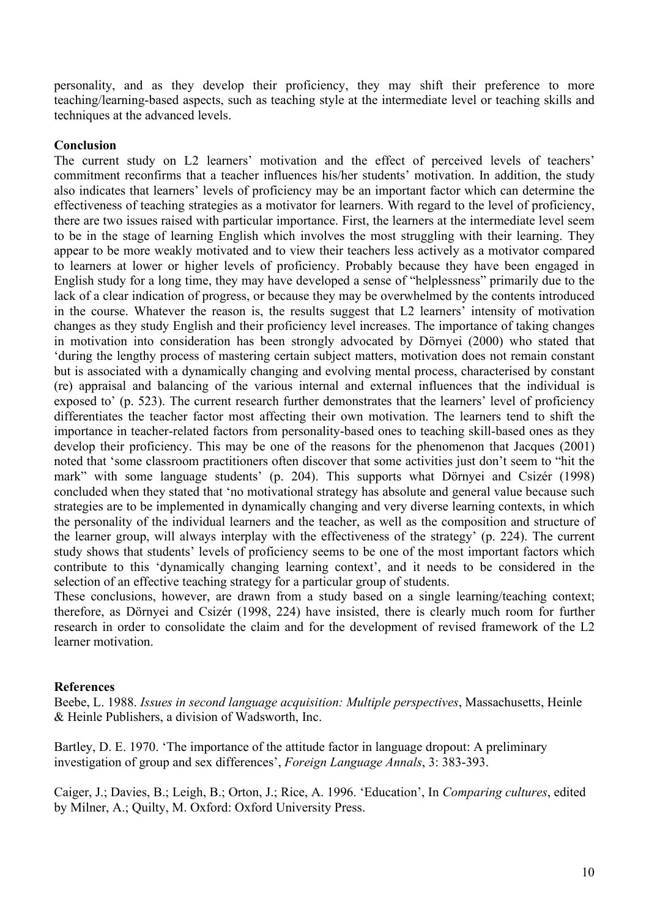personality, and as they develop their proficiency, they may shift their preference to more teaching/learning-based aspects, such as teaching style at the intermediate level or teaching skills and techniques at the advanced levels.

#### **Conclusion**

The current study on L2 learners' motivation and the effect of perceived levels of teachers' commitment reconfirms that a teacher influences his/her students' motivation. In addition, the study also indicates that learners' levels of proficiency may be an important factor which can determine the effectiveness of teaching strategies as a motivator for learners. With regard to the level of proficiency, there are two issues raised with particular importance. First, the learners at the intermediate level seem to be in the stage of learning English which involves the most struggling with their learning. They appear to be more weakly motivated and to view their teachers less actively as a motivator compared to learners at lower or higher levels of proficiency. Probably because they have been engaged in English study for a long time, they may have developed a sense of "helplessness" primarily due to the lack of a clear indication of progress, or because they may be overwhelmed by the contents introduced in the course. Whatever the reason is, the results suggest that L2 learners' intensity of motivation changes as they study English and their proficiency level increases. The importance of taking changes in motivation into consideration has been strongly advocated by Dörnyei (2000) who stated that 'during the lengthy process of mastering certain subject matters, motivation does not remain constant but is associated with a dynamically changing and evolving mental process, characterised by constant (re) appraisal and balancing of the various internal and external influences that the individual is exposed to' (p. 523). The current research further demonstrates that the learners' level of proficiency differentiates the teacher factor most affecting their own motivation. The learners tend to shift the importance in teacher-related factors from personality-based ones to teaching skill-based ones as they develop their proficiency. This may be one of the reasons for the phenomenon that Jacques (2001) noted that 'some classroom practitioners often discover that some activities just don't seem to "hit the mark" with some language students' (p. 204). This supports what Dörnyei and Csizér (1998) concluded when they stated that 'no motivational strategy has absolute and general value because such strategies are to be implemented in dynamically changing and very diverse learning contexts, in which the personality of the individual learners and the teacher, as well as the composition and structure of the learner group, will always interplay with the effectiveness of the strategy' (p. 224). The current study shows that students' levels of proficiency seems to be one of the most important factors which contribute to this 'dynamically changing learning context', and it needs to be considered in the selection of an effective teaching strategy for a particular group of students.

These conclusions, however, are drawn from a study based on a single learning/teaching context; therefore, as Dörnyei and Csizér (1998, 224) have insisted, there is clearly much room for further research in order to consolidate the claim and for the development of revised framework of the L2 learner motivation.

#### **References**

Beebe, L. 1988. *Issues in second language acquisition: Multiple perspectives*, Massachusetts, Heinle & Heinle Publishers, a division of Wadsworth, Inc.

Bartley, D. E. 1970. 'The importance of the attitude factor in language dropout: A preliminary investigation of group and sex differences', *Foreign Language Annals*, 3: 383-393.

Caiger, J.; Davies, B.; Leigh, B.; Orton, J.; Rice, A. 1996. 'Education', In *Comparing cultures*, edited by Milner, A.; Quilty, M. Oxford: Oxford University Press.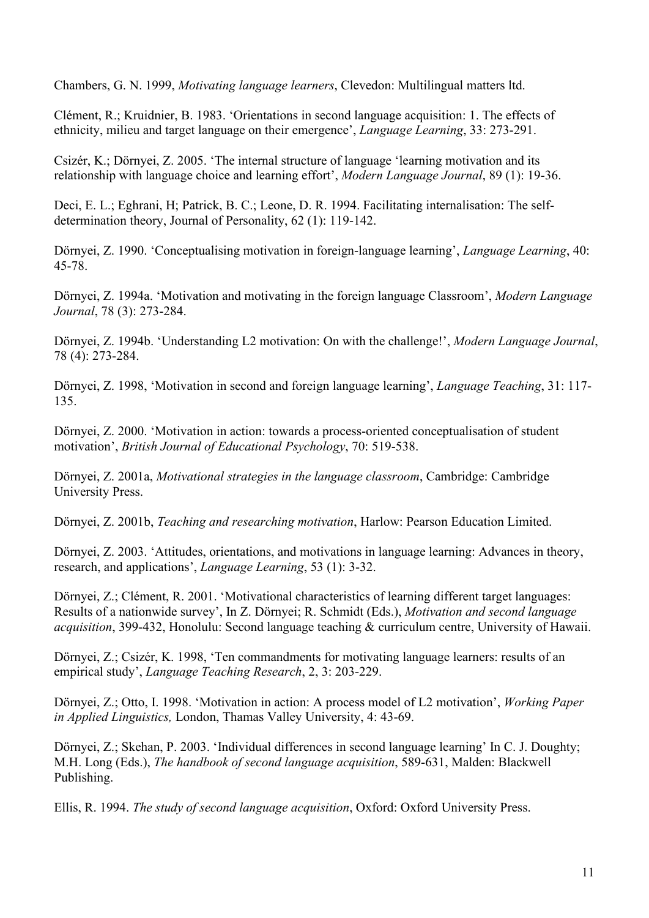Chambers, G. N. 1999, *Motivating language learners*, Clevedon: Multilingual matters ltd.

Clément, R.; Kruidnier, B. 1983. 'Orientations in second language acquisition: 1. The effects of ethnicity, milieu and target language on their emergence', *Language Learning*, 33: 273-291.

Csizér, K.; Dörnyei, Z. 2005. 'The internal structure of language 'learning motivation and its relationship with language choice and learning effort', *Modern Language Journal*, 89 (1): 19-36.

Deci, E. L.; Eghrani, H; Patrick, B. C.; Leone, D. R. 1994. Facilitating internalisation: The selfdetermination theory, Journal of Personality, 62 (1): 119-142.

Dörnyei, Z. 1990. 'Conceptualising motivation in foreign-language learning', *Language Learning*, 40: 45-78.

Dörnyei, Z. 1994a. 'Motivation and motivating in the foreign language Classroom', *Modern Language Journal*, 78 (3): 273-284.

Dörnyei, Z. 1994b. 'Understanding L2 motivation: On with the challenge!', *Modern Language Journal*, 78 (4): 273-284.

Dörnyei, Z. 1998, 'Motivation in second and foreign language learning', *Language Teaching*, 31: 117- 135.

Dörnyei, Z. 2000. 'Motivation in action: towards a process-oriented conceptualisation of student motivation', *British Journal of Educational Psychology*, 70: 519-538.

Dörnyei, Z. 2001a, *Motivational strategies in the language classroom*, Cambridge: Cambridge University Press.

Dörnyei, Z. 2001b, *Teaching and researching motivation*, Harlow: Pearson Education Limited.

Dörnyei, Z. 2003. 'Attitudes, orientations, and motivations in language learning: Advances in theory, research, and applications', *Language Learning*, 53 (1): 3-32.

Dörnyei, Z.; Clément, R. 2001. 'Motivational characteristics of learning different target languages: Results of a nationwide survey', In Z. Dörnyei; R. Schmidt (Eds.), *Motivation and second language acquisition*, 399-432, Honolulu: Second language teaching & curriculum centre, University of Hawaii.

Dörnyei, Z.; Csizér, K. 1998, 'Ten commandments for motivating language learners: results of an empirical study', *Language Teaching Research*, 2, 3: 203-229.

Dörnyei, Z.; Otto, I. 1998. 'Motivation in action: A process model of L2 motivation', *Working Paper in Applied Linguistics,* London, Thamas Valley University, 4: 43-69.

Dörnyei, Z.; Skehan, P. 2003. 'Individual differences in second language learning' In C. J. Doughty; M.H. Long (Eds.), *The handbook of second language acquisition*, 589-631, Malden: Blackwell Publishing.

Ellis, R. 1994. *The study of second language acquisition*, Oxford: Oxford University Press.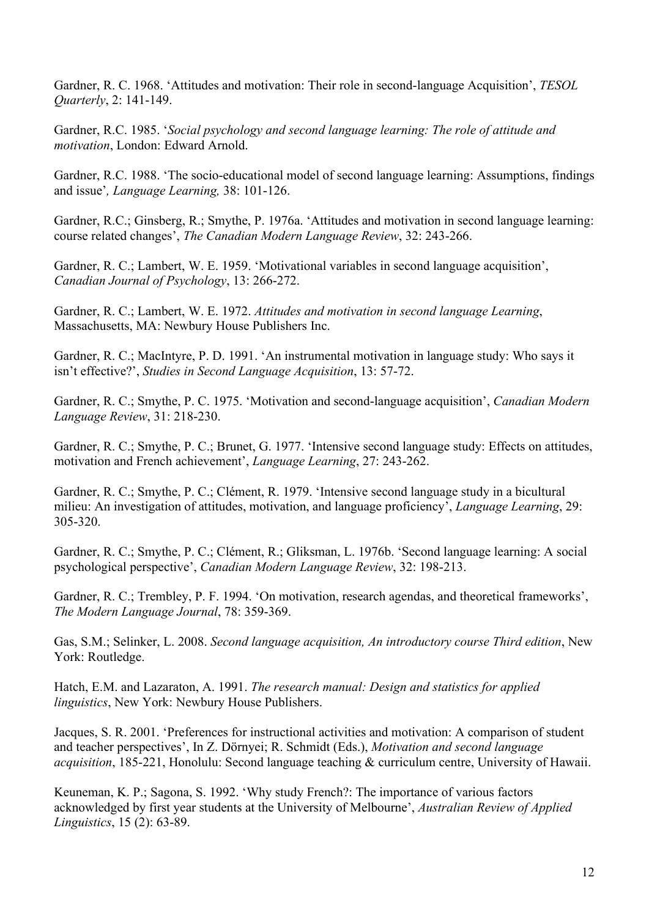Gardner, R. C. 1968. 'Attitudes and motivation: Their role in second-language Acquisition', *TESOL Quarterly*, 2: 141-149.

Gardner, R.C. 1985. '*Social psychology and second language learning: The role of attitude and motivation*, London: Edward Arnold.

Gardner, R.C. 1988. 'The socio-educational model of second language learning: Assumptions, findings and issue'*, Language Learning,* 38: 101-126.

Gardner, R.C.; Ginsberg, R.; Smythe, P. 1976a. 'Attitudes and motivation in second language learning: course related changes', *The Canadian Modern Language Review*, 32: 243-266.

Gardner, R. C.; Lambert, W. E. 1959. 'Motivational variables in second language acquisition', *Canadian Journal of Psychology*, 13: 266-272.

Gardner, R. C.; Lambert, W. E. 1972. *Attitudes and motivation in second language Learning*, Massachusetts, MA: Newbury House Publishers Inc.

Gardner, R. C.; MacIntyre, P. D. 1991. 'An instrumental motivation in language study: Who says it isn't effective?', *Studies in Second Language Acquisition*, 13: 57-72.

Gardner, R. C.; Smythe, P. C. 1975. 'Motivation and second-language acquisition', *Canadian Modern Language Review*, 31: 218-230.

Gardner, R. C.; Smythe, P. C.; Brunet, G. 1977. 'Intensive second language study: Effects on attitudes, motivation and French achievement', *Language Learning*, 27: 243-262.

Gardner, R. C.; Smythe, P. C.; Clément, R. 1979. 'Intensive second language study in a bicultural milieu: An investigation of attitudes, motivation, and language proficiency', *Language Learning*, 29: 305-320.

Gardner, R. C.; Smythe, P. C.; Clément, R.; Gliksman, L. 1976b. 'Second language learning: A social psychological perspective', *Canadian Modern Language Review*, 32: 198-213.

Gardner, R. C.; Trembley, P. F. 1994. 'On motivation, research agendas, and theoretical frameworks', *The Modern Language Journal*, 78: 359-369.

Gas, S.M.; Selinker, L. 2008. *Second language acquisition, An introductory course Third edition*, New York: Routledge.

Hatch, E.M. and Lazaraton, A. 1991. *The research manual: Design and statistics for applied linguistics*, New York: Newbury House Publishers.

Jacques, S. R. 2001. 'Preferences for instructional activities and motivation: A comparison of student and teacher perspectives', In Z. Dörnyei; R. Schmidt (Eds.), *Motivation and second language acquisition*, 185-221, Honolulu: Second language teaching & curriculum centre, University of Hawaii.

Keuneman, K. P.; Sagona, S. 1992. 'Why study French?: The importance of various factors acknowledged by first year students at the University of Melbourne', *Australian Review of Applied Linguistics*, 15 (2): 63-89.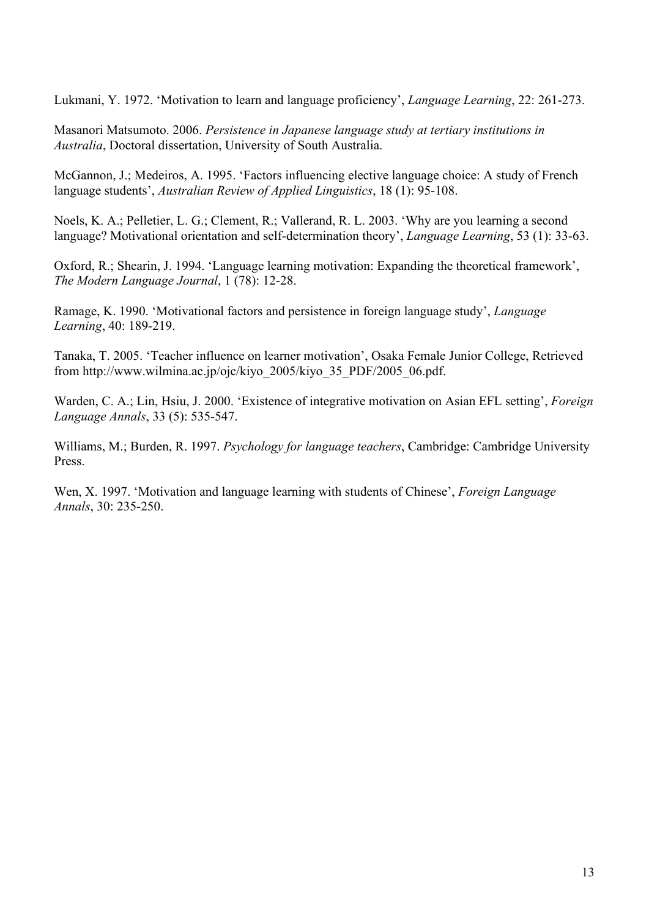Lukmani, Y. 1972. 'Motivation to learn and language proficiency', *Language Learning*, 22: 261-273.

Masanori Matsumoto. 2006. *Persistence in Japanese language study at tertiary institutions in Australia*, Doctoral dissertation, University of South Australia.

McGannon, J.; Medeiros, A. 1995. 'Factors influencing elective language choice: A study of French language students', *Australian Review of Applied Linguistics*, 18 (1): 95-108.

Noels, K. A.; Pelletier, L. G.; Clement, R.; Vallerand, R. L. 2003. 'Why are you learning a second language? Motivational orientation and self-determination theory', *Language Learning*, 53 (1): 33-63.

Oxford, R.; Shearin, J. 1994. 'Language learning motivation: Expanding the theoretical framework', *The Modern Language Journal*, 1 (78): 12-28.

Ramage, K. 1990. 'Motivational factors and persistence in foreign language study', *Language Learning*, 40: 189-219.

Tanaka, T. 2005. 'Teacher influence on learner motivation', Osaka Female Junior College, Retrieved from http://www.wilmina.ac.jp/ojc/kiyo\_2005/kiyo\_35\_PDF/2005\_06.pdf.

Warden, C. A.; Lin, Hsiu, J. 2000. 'Existence of integrative motivation on Asian EFL setting', *Foreign Language Annals*, 33 (5): 535-547.

Williams, M.; Burden, R. 1997. *Psychology for language teachers*, Cambridge: Cambridge University Press.

Wen, X. 1997. 'Motivation and language learning with students of Chinese', *Foreign Language Annals*, 30: 235-250.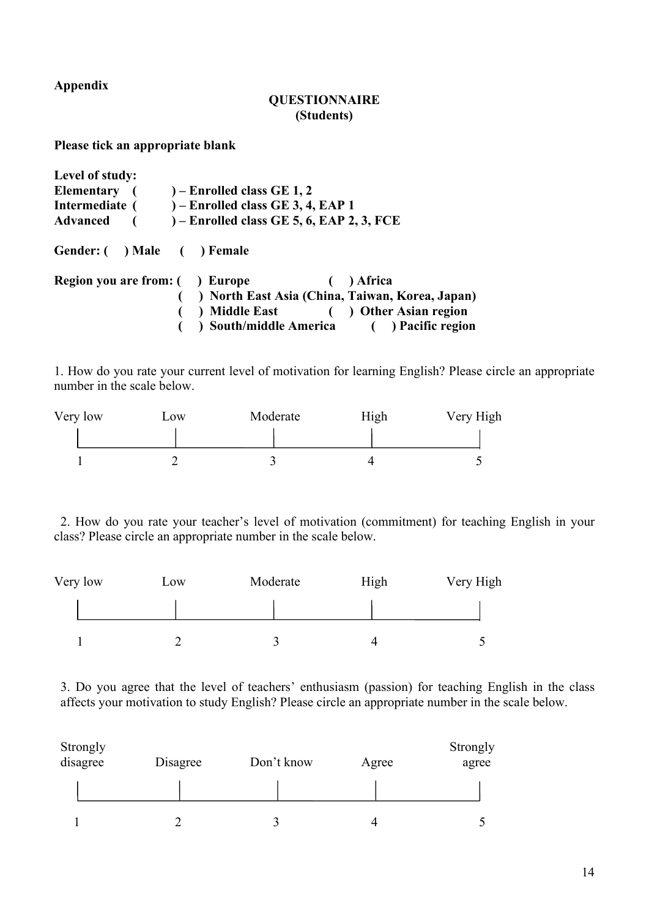**Appendix**

#### **QUESTIONNAIRE (Students)**

**Please tick an appropriate blank**

| Level of study:                        |                                                                                                                                                    |  |
|----------------------------------------|----------------------------------------------------------------------------------------------------------------------------------------------------|--|
|                                        | Elementary $($ $)$ – Enrolled class GE 1, 2                                                                                                        |  |
|                                        | Intermediate $($ $)$ – Enrolled class GE 3, 4, EAP 1                                                                                               |  |
|                                        | Advanced $(-$ - Enrolled class GE 5, 6, EAP 2, 3, FCE                                                                                              |  |
| Gender: () Male () Female              |                                                                                                                                                    |  |
| <b>Region you are from:</b> ( ) Europe | (a) Africa<br>() North East Asia (China, Taiwan, Korea, Japan)<br>) Middle East ( ) Other Asian region<br>) South/middle America () Pacific region |  |

1. How do you rate your current level of motivation for learning English? Please circle an appropriate number in the scale below.

| Very low | $-0W$ | Moderate | High | Very High |
|----------|-------|----------|------|-----------|
|          |       |          |      |           |
|          |       |          |      |           |

2. How do you rate your teacher's level of motivation (commitment) for teaching English in your class? Please circle an appropriate number in the scale below.

| Very low | L <sub>0</sub> W | Moderate | High | Very High |
|----------|------------------|----------|------|-----------|
|          |                  |          |      |           |
|          |                  |          |      |           |

3. Do you agree that the level of teachers' enthusiasm (passion) for teaching English in the class affects your motivation to study English? Please circle an appropriate number in the scale below.

| Strongly<br>disagree | Disagree | Don't know | Agree | Strongly<br>agree |
|----------------------|----------|------------|-------|-------------------|
|                      |          |            |       |                   |
|                      |          |            |       |                   |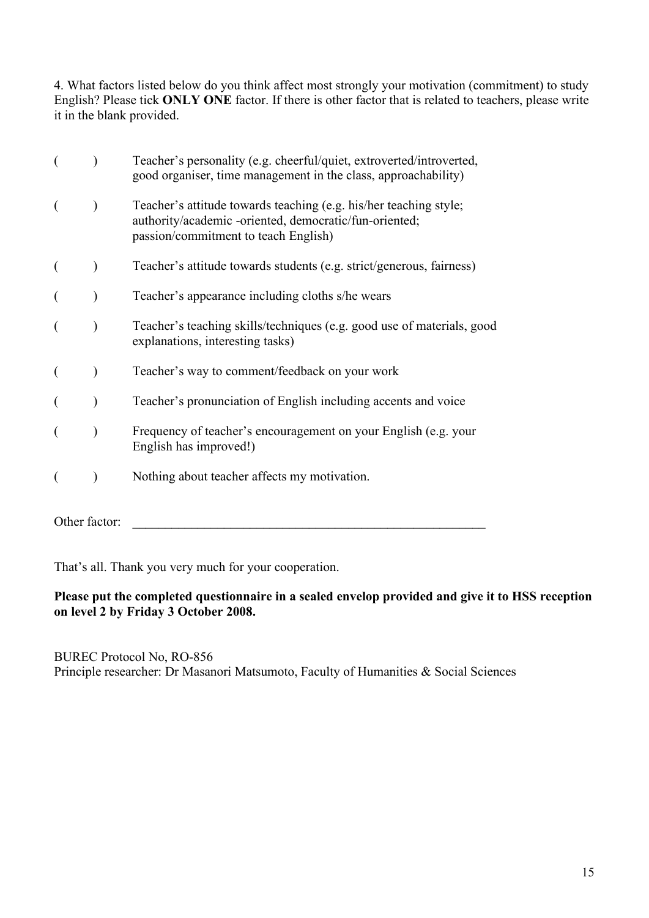4. What factors listed below do you think affect most strongly your motivation (commitment) to study English? Please tick **ONLY ONE** factor. If there is other factor that is related to teachers, please write it in the blank provided.

|               | Teacher's personality (e.g. cheerful/quiet, extroverted/introverted,<br>good organiser, time management in the class, approachability)                              |
|---------------|---------------------------------------------------------------------------------------------------------------------------------------------------------------------|
|               | Teacher's attitude towards teaching (e.g. his/her teaching style;<br>authority/academic -oriented, democratic/fun-oriented;<br>passion/commitment to teach English) |
|               | Teacher's attitude towards students (e.g. strict/generous, fairness)                                                                                                |
|               | Teacher's appearance including cloths s/he wears                                                                                                                    |
|               | Teacher's teaching skills/techniques (e.g. good use of materials, good<br>explanations, interesting tasks)                                                          |
|               | Teacher's way to comment/feedback on your work                                                                                                                      |
|               | Teacher's pronunciation of English including accents and voice                                                                                                      |
|               | Frequency of teacher's encouragement on your English (e.g. your<br>English has improved!)                                                                           |
|               | Nothing about teacher affects my motivation.                                                                                                                        |
| Other factor: |                                                                                                                                                                     |

That's all. Thank you very much for your cooperation.

## **Please put the completed questionnaire in a sealed envelop provided and give it to HSS reception on level 2 by Friday 3 October 2008.**

BUREC Protocol No, RO-856 Principle researcher: Dr Masanori Matsumoto, Faculty of Humanities & Social Sciences